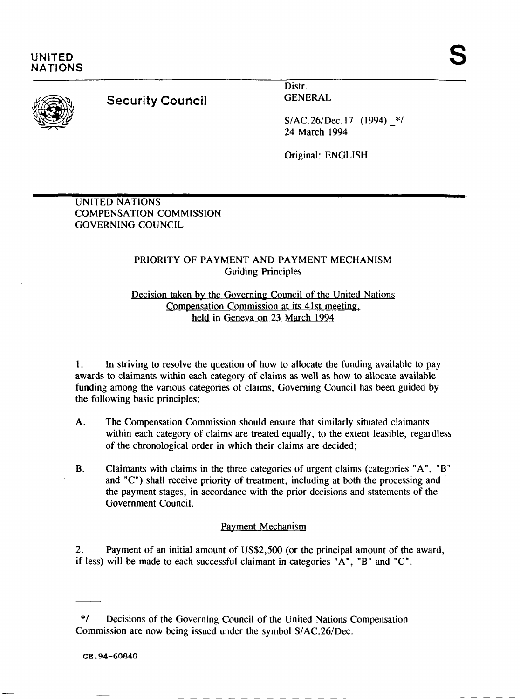

# **Security Council**

Distr. GENERAL

S/AC.26/Dec. 17 (1994) \*/ 24 March 1994

Original: ENGLISH

UNITED NATlONS **COMPENSATION COMMISSION** GOVERNING COUNCIL

## PRIORITY OF PAYMENT AND PAYMENT MECHANISM Guiding Principles

#### Decision taken by the Governing Council of the United Nations Compensation Commission at its 41st meeting, held in Geneva on 23 March 1994

**1.** In striving to resolve the question of how to allocate the funding available to pay awards to claimants within each category of claims as well as how to allocate available funding among the various categories of claims, Governing Council has been guided by the following basic principles:

- A. The Compensation Commission should ensure that similarly situated claimants within each category of claims are treated equally, to the extent feasible, regardless of the chronological order in which their claims are decided;
- **B.** Claimants with claims in the three categories of urgent claims (categories "A", "B" and "C") shall receive priority of treatment, including at both the processing and the payment stages, in accordance with the prior decisions and statements of the Government Council.

#### Payment Mechanism

2. Payment of an initial amount of US\$2,500 (or the principal amount of the award, if less) will be made to each successful claimant in categories "A", "B" and "C".

<sup>\*/</sup> Decisions of the Governing Council of the United Nations Compensation Commission are now being issued under the symbol S/AC.26/Dec.